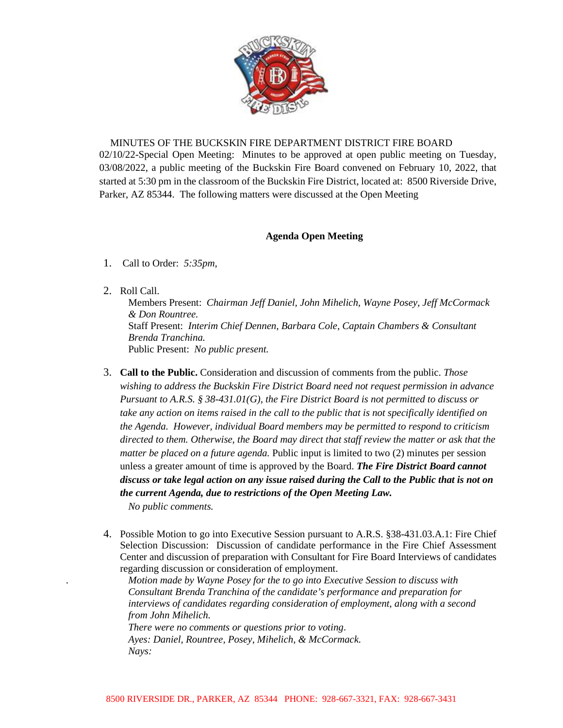

## MINUTES OF THE BUCKSKIN FIRE DEPARTMENT DISTRICT FIRE BOARD

02/10/22-Special Open Meeting: Minutes to be approved at open public meeting on Tuesday, 03/08/2022, a public meeting of the Buckskin Fire Board convened on February 10, 2022, that started at 5:30 pm in the classroom of the Buckskin Fire District, located at: 8500 Riverside Drive, Parker, AZ 85344. The following matters were discussed at the Open Meeting

## **Agenda Open Meeting**

- 1. Call to Order: *5:35pm,*
- 2. Roll Call.

Members Present: *Chairman Jeff Daniel, John Mihelich, Wayne Posey, Jeff McCormack & Don Rountree.*  Staff Present: *Interim Chief Dennen, Barbara Cole, Captain Chambers & Consultant Brenda Tranchina.*  Public Present: *No public present.*

- 3. **Call to the Public.** Consideration and discussion of comments from the public. *Those wishing to address the Buckskin Fire District Board need not request permission in advance Pursuant to A.R.S. § 38-431.01(G), the Fire District Board is not permitted to discuss or take any action on items raised in the call to the public that is not specifically identified on the Agenda. However, individual Board members may be permitted to respond to criticism directed to them. Otherwise, the Board may direct that staff review the matter or ask that the matter be placed on a future agenda.* Public input is limited to two (2) minutes per session unless a greater amount of time is approved by the Board. *The Fire District Board cannot discuss or take legal action on any issue raised during the Call to the Public that is not on the current Agenda, due to restrictions of the Open Meeting Law. No public comments.*
- 4. Possible Motion to go into Executive Session pursuant to A.R.S. §38-431.03.A.1: Fire Chief Selection Discussion: Discussion of candidate performance in the Fire Chief Assessment Center and discussion of preparation with Consultant for Fire Board Interviews of candidates regarding discussion or consideration of employment.

*. Motion made by Wayne Posey for the to go into Executive Session to discuss with Consultant Brenda Tranchina of the candidate's performance and preparation for interviews of candidates regarding consideration of employment, along with a second from John Mihelich.* 

*There were no comments or questions prior to voting*. *Ayes: Daniel, Rountree, Posey, Mihelich, & McCormack. Nays:*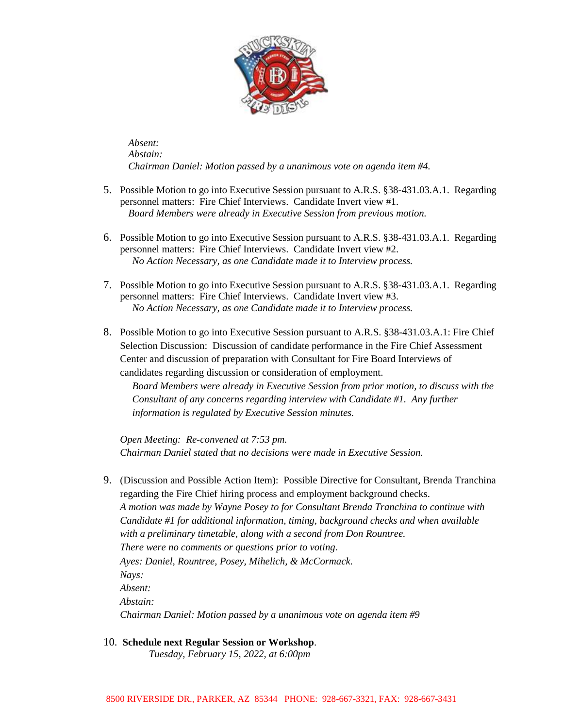

*Absent: Abstain: Chairman Daniel: Motion passed by a unanimous vote on agenda item #4.* 

- 5. Possible Motion to go into Executive Session pursuant to A.R.S. §38-431.03.A.1. Regarding personnel matters: Fire Chief Interviews. Candidate Invert view #1. *Board Members were already in Executive Session from previous motion.*
- 6. Possible Motion to go into Executive Session pursuant to A.R.S. §38-431.03.A.1. Regarding personnel matters: Fire Chief Interviews. Candidate Invert view #2. *No Action Necessary, as one Candidate made it to Interview process.*
- 7. Possible Motion to go into Executive Session pursuant to A.R.S. §38-431.03.A.1. Regarding personnel matters: Fire Chief Interviews. Candidate Invert view #3. *No Action Necessary, as one Candidate made it to Interview process.*
- 8. Possible Motion to go into Executive Session pursuant to A.R.S. §38-431.03.A.1: Fire Chief Selection Discussion: Discussion of candidate performance in the Fire Chief Assessment Center and discussion of preparation with Consultant for Fire Board Interviews of candidates regarding discussion or consideration of employment.

*Board Members were already in Executive Session from prior motion, to discuss with the Consultant of any concerns regarding interview with Candidate #1. Any further information is regulated by Executive Session minutes.* 

*Open Meeting: Re-convened at 7:53 pm. Chairman Daniel stated that no decisions were made in Executive Session.* 

- 9. (Discussion and Possible Action Item): Possible Directive for Consultant, Brenda Tranchina regarding the Fire Chief hiring process and employment background checks. *A motion was made by Wayne Posey to for Consultant Brenda Tranchina to continue with Candidate #1 for additional information, timing, background checks and when available with a preliminary timetable, along with a second from Don Rountree. There were no comments or questions prior to voting*. *Ayes: Daniel, Rountree, Posey, Mihelich, & McCormack. Nays: Absent: Abstain: Chairman Daniel: Motion passed by a unanimous vote on agenda item #9*
- 10. **Schedule next Regular Session or Workshop**.

*Tuesday, February 15, 2022, at 6:00pm*